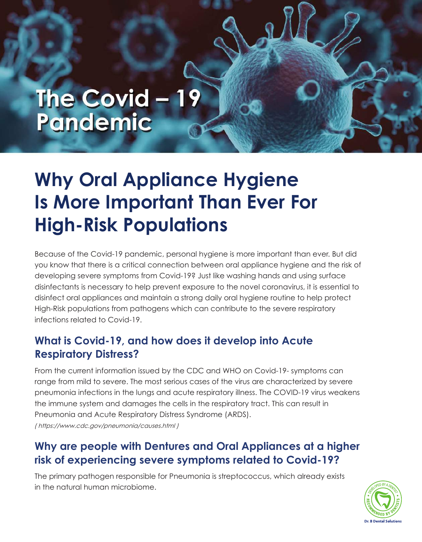# The Covid - 19 Pandemic

## **Why Oral Appliance Hygiene Is More Important Than Ever For High-Risk Populations**

Because of the Covid-19 pandemic, personal hygiene is more important than ever. But did you know that there is a critical connection between oral appliance hygiene and the risk of developing severe symptoms from Covid-19? Just like washing hands and using surface disinfectants is necessary to help prevent exposure to the novel coronavirus, it is essential to disinfect oral appliances and maintain a strong daily oral hygiene routine to help protect High-Risk populations from pathogens which can contribute to the severe respiratory infections related to Covid-19.

#### **What is Covid-19, and how does it develop into Acute Respiratory Distress?**

From the current information issued by the CDC and WHO on Covid-19- symptoms can range from mild to severe. The most serious cases of the virus are characterized by severe pneumonia infections in the lungs and acute respiratory illness. The COVID-19 virus weakens the immune system and damages the cells in the respiratory tract. This can result in Pneumonia and Acute Respiratory Distress Syndrome (ARDS). [\( https://www.cdc.gov/pneumonia/causes.html](https://www.cdc.gov/pneumonia/causes.html) )

#### **Why are people with Dentures and Oral Appliances at a higher risk of experiencing severe symptoms related to Covid-19?**

The primary pathogen responsible for Pneumonia is streptococcus, which already exists in the natural human microbiome.

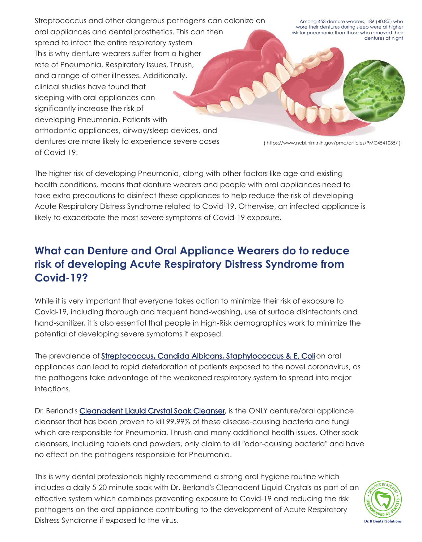Streptococcus and other dangerous pathogens can colonize on oral appliances and dental prosthetics. This can then spread to infect the entire respiratory system This is why denture-wearers suffer from a higher rate of Pneumonia, Respiratory Issues, Thrush, and a range of other illnesses. Additionally, clinical studies have found that sleeping with oral appliances can significantly increase the risk of developing Pneumonia. Patients with orthodontic appliances, airway/sleep devices, and dentures are more likely to experience severe cases of Covid-19.

Among 453 denture wearers, 186 (40.8%) who wore their dentures during sleep were at higher risk for pneumonia than those who removed their dentures at night

( https://www.ncbi.nlm.nih.gov/pmc/articles/PMC4541085/ )

The higher risk of developing Pneumonia, along with other factors like age and existing health conditions, means that denture wearers and people with oral appliances need to take extra precautions to disinfect these appliances to help reduce the risk of developing Acute Respiratory Distress Syndrome related to Covid-19. Otherwise, an infected appliance is likely to exacerbate the most severe symptoms of Covid-19 exposure.

#### **What can Denture and Oral Appliance Wearers do to reduce risk of developing Acute Respiratory Distress Syndrome from Covid-19?**

While it is very important that everyone takes action to minimize their risk of exposure to Covid-19, including thorough and frequent hand-washing, use of surface disinfectants and hand-sanitizer, it is also essential that people in High-Risk demographics work to minimize the potential of developing severe symptoms if exposed.

The prevalence of Streptococcus, Candida Albicans, Staphylococcus & E. Coli on oral appliances can lead to rapid deterioration of patients exposed to the novel coronavirus, as the pathogens take advantage of the weakened respiratory system to spread into major infections.

Dr. Berland's [Cleanadent Liquid Crystal Soak Cleanser](https://www.drbdentalsolutions.com/product/crystals/), is the ONLY denture/oral appliance cleanser that has been proven to kill 99.99% of these disease-causing bacteria and fungi which are responsible for Pneumonia, Thrush and many additional health issues. Other soak cleansers, including tablets and powders, only claim to kill "odor-causing bacteria" and have no effect on the pathogens responsible for Pneumonia.

This is why dental professionals highly recommend a strong oral hygiene routine which includes a daily 5-20 minute soak with Dr. Berland's Cleanadent Liquid Crystals as part of an effective system which combines preventing exposure to Covid-19 and reducing the risk pathogens on the oral appliance contributing to the development of Acute Respiratory Distress Syndrome if exposed to the virus.

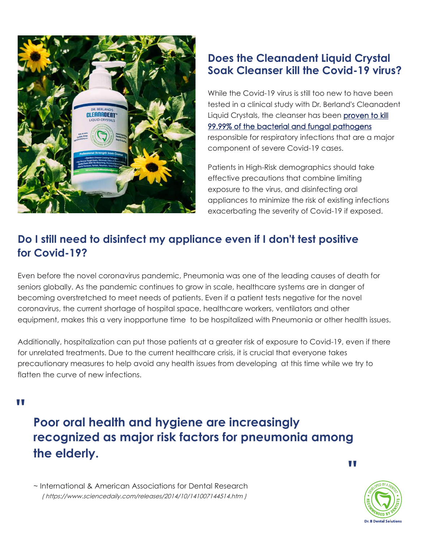

#### **Does the Cleanadent Liquid Crystal Soak Cleanser kill the Covid-19 virus?**

While the Covid-19 virus is still too new to have been tested in a clinical study with Dr. Berland's Cleanadent Liquid Crystals, the cleanser has been proven to kill [99.99% of the bacterial and fungal pathogens](https://www.drbdentalsolutions.com/wp-content/uploads/2019/10/Cleanadent-Liquid-Crystals-Pathogen-Study-Combined.pdf) responsible for respiratory infections that are a major component of severe Covid-19 cases.

Patients in High-Risk demographics should take effective precautions that combine limiting exposure to the virus, and disinfecting oral appliances to minimize the risk of existing infections exacerbating the severity of Covid-19 if exposed.

#### **Do I still need to disinfect my appliance even if I don't test positive for Covid-19?**

Even before the novel coronavirus pandemic, Pneumonia was one of the leading causes of death for seniors globally. As the pandemic continues to grow in scale, healthcare systems are in danger of becoming overstretched to meet needs of patients. Even if a patient tests negative for the novel coronavirus, the current shortage of hospital space, healthcare workers, ventilators and other equipment, makes this a very inopportune time to be hospitalized with Pneumonia or other health issues.

Additionally, hospitalization can put those patients at a greater risk of exposure to Covid-19, even if there for unrelated treatments. Due to the current healthcare crisis, it is crucial that everyone takes precautionary measures to help avoid any health issues from developing at this time while we try to flatten the curve of new infections.

**"** 

### **Poor oral health and hygiene are increasingly recognized as major risk factors for pneumonia among the elderly.**

**"** 

~ International & American Associations for Dental Research (<https://www.sciencedaily.com/releases/2014/10/141007144514.htm> )